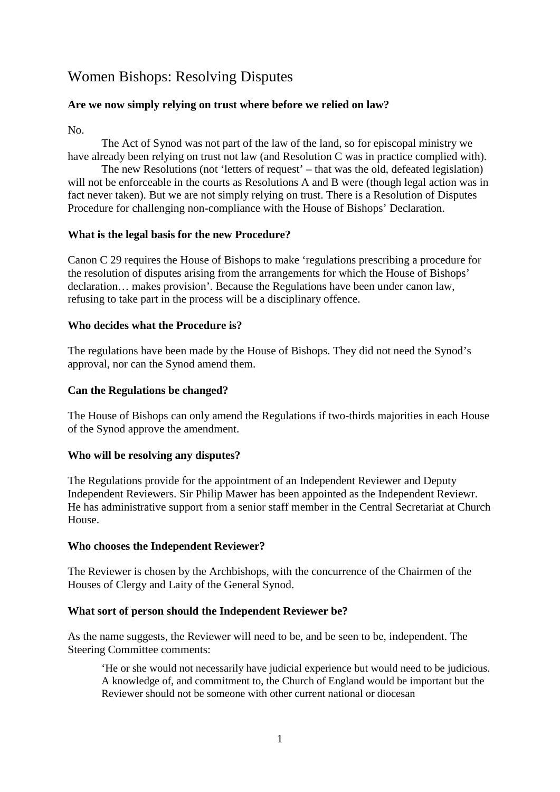# Women Bishops: Resolving Disputes

### **Are we now simply relying on trust where before we relied on law?**

No.

The Act of Synod was not part of the law of the land, so for episcopal ministry we have already been relying on trust not law (and Resolution C was in practice complied with).

The new Resolutions (not 'letters of request' – that was the old, defeated legislation) will not be enforceable in the courts as Resolutions A and B were (though legal action was in fact never taken). But we are not simply relying on trust. There is a Resolution of Disputes Procedure for challenging non-compliance with the House of Bishops' Declaration.

#### **What is the legal basis for the new Procedure?**

Canon C 29 requires the House of Bishops to make 'regulations prescribing a procedure for the resolution of disputes arising from the arrangements for which the House of Bishops' declaration… makes provision'. Because the Regulations have been under canon law, refusing to take part in the process will be a disciplinary offence.

#### **Who decides what the Procedure is?**

The regulations have been made by the House of Bishops. They did not need the Synod's approval, nor can the Synod amend them.

#### **Can the Regulations be changed?**

The House of Bishops can only amend the Regulations if two-thirds majorities in each House of the Synod approve the amendment.

# **Who will be resolving any disputes?**

The Regulations provide for the appointment of an Independent Reviewer and Deputy Independent Reviewers. Sir Philip Mawer has been appointed as the Independent Reviewr. He has administrative support from a senior staff member in the Central Secretariat at Church House.

#### **Who chooses the Independent Reviewer?**

The Reviewer is chosen by the Archbishops, with the concurrence of the Chairmen of the Houses of Clergy and Laity of the General Synod.

# **What sort of person should the Independent Reviewer be?**

As the name suggests, the Reviewer will need to be, and be seen to be, independent. The Steering Committee comments:

'He or she would not necessarily have judicial experience but would need to be judicious. A knowledge of, and commitment to, the Church of England would be important but the Reviewer should not be someone with other current national or diocesan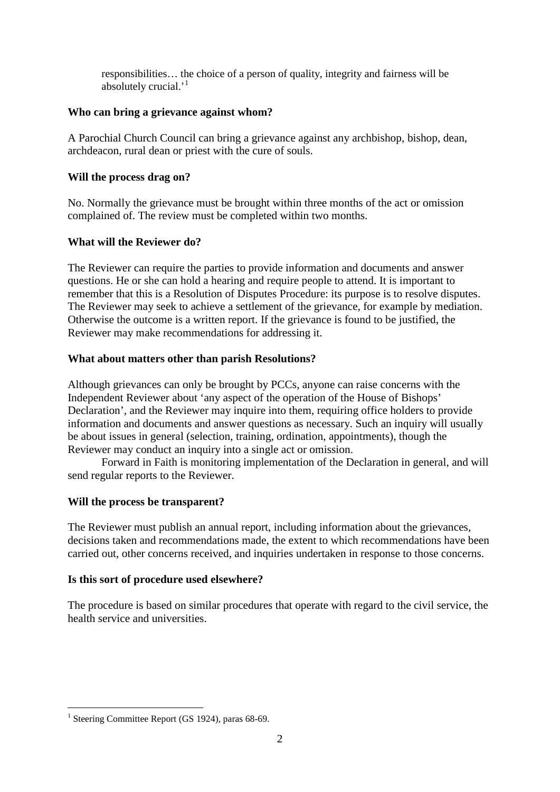responsibilities… the choice of a person of quality, integrity and fairness will be absolutely crucial.'[1](#page-1-0)

#### **Who can bring a grievance against whom?**

A Parochial Church Council can bring a grievance against any archbishop, bishop, dean, archdeacon, rural dean or priest with the cure of souls.

# **Will the process drag on?**

No. Normally the grievance must be brought within three months of the act or omission complained of. The review must be completed within two months.

# **What will the Reviewer do?**

The Reviewer can require the parties to provide information and documents and answer questions. He or she can hold a hearing and require people to attend. It is important to remember that this is a Resolution of Disputes Procedure: its purpose is to resolve disputes. The Reviewer may seek to achieve a settlement of the grievance, for example by mediation. Otherwise the outcome is a written report. If the grievance is found to be justified, the Reviewer may make recommendations for addressing it.

# **What about matters other than parish Resolutions?**

Although grievances can only be brought by PCCs, anyone can raise concerns with the Independent Reviewer about 'any aspect of the operation of the House of Bishops' Declaration', and the Reviewer may inquire into them, requiring office holders to provide information and documents and answer questions as necessary. Such an inquiry will usually be about issues in general (selection, training, ordination, appointments), though the Reviewer may conduct an inquiry into a single act or omission.

Forward in Faith is monitoring implementation of the Declaration in general, and will send regular reports to the Reviewer.

# **Will the process be transparent?**

The Reviewer must publish an annual report, including information about the grievances, decisions taken and recommendations made, the extent to which recommendations have been carried out, other concerns received, and inquiries undertaken in response to those concerns.

# **Is this sort of procedure used elsewhere?**

The procedure is based on similar procedures that operate with regard to the civil service, the health service and universities.

<span id="page-1-0"></span><sup>&</sup>lt;sup>1</sup> Steering Committee Report (GS 1924), paras  $68-69$ .